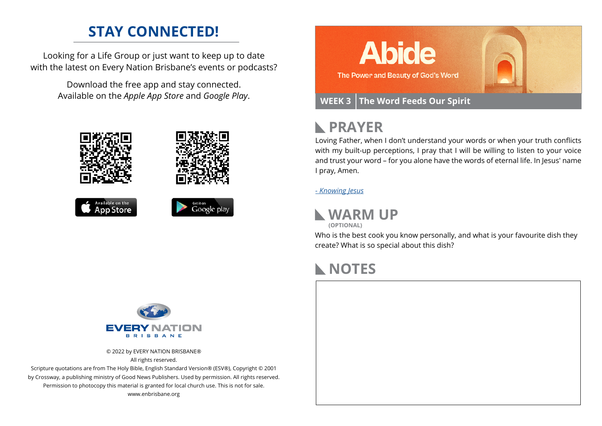## **STAY CONNECTED!**

Looking for a Life Group or just want to keep up to date with the latest on Every Nation Brisbane's events or podcasts?

> Download the free app and stay connected. Available on the *Apple App Store* and *Google Play*.











# **PRAYER**

Loving Father, when I don't understand your words or when your truth conflicts with my built-up perceptions, I pray that I will be willing to listen to your voice and trust your word – for you alone have the words of eternal life. In Jesus' name I pray, Amen.

*[- Knowing Jesus](https://prayer.knowing-jesus.com/John/6)*



**(OPTIONAL)**

Who is the best cook you know personally, and what is your favourite dish they create? What is so special about this dish?

# **NOTES**



© 2022 by EVERY NATION BRISBANE® All rights reserved.

Scripture quotations are from The Holy Bible, English Standard Version® (ESV®), Copyright © 2001 by Crossway, a publishing ministry of Good News Publishers. Used by permission. All rights reserved. Permission to photocopy this material is granted for local church use. This is not for sale. www.enbrisbane.org